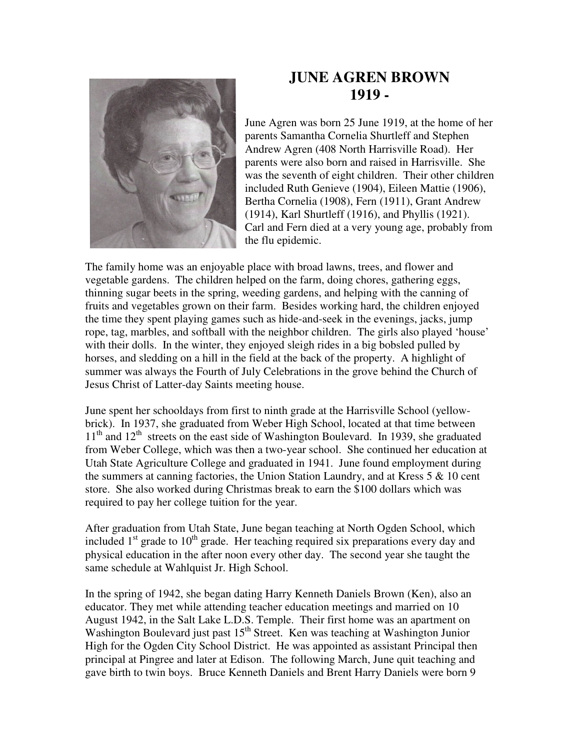

## **JUNE AGREN BROWN 1919 -**

June Agren was born 25 June 1919, at the home of her parents Samantha Cornelia Shurtleff and Stephen Andrew Agren (408 North Harrisville Road). Her parents were also born and raised in Harrisville. She was the seventh of eight children. Their other children included Ruth Genieve (1904), Eileen Mattie (1906), Bertha Cornelia (1908), Fern (1911), Grant Andrew (1914), Karl Shurtleff (1916), and Phyllis (1921). Carl and Fern died at a very young age, probably from the flu epidemic.

The family home was an enjoyable place with broad lawns, trees, and flower and vegetable gardens. The children helped on the farm, doing chores, gathering eggs, thinning sugar beets in the spring, weeding gardens, and helping with the canning of fruits and vegetables grown on their farm. Besides working hard, the children enjoyed the time they spent playing games such as hide-and-seek in the evenings, jacks, jump rope, tag, marbles, and softball with the neighbor children. The girls also played 'house' with their dolls. In the winter, they enjoyed sleigh rides in a big bobsled pulled by horses, and sledding on a hill in the field at the back of the property. A highlight of summer was always the Fourth of July Celebrations in the grove behind the Church of Jesus Christ of Latter-day Saints meeting house.

June spent her schooldays from first to ninth grade at the Harrisville School (yellowbrick). In 1937, she graduated from Weber High School, located at that time between  $11<sup>th</sup>$  and  $12<sup>th</sup>$  streets on the east side of Washington Boulevard. In 1939, she graduated from Weber College, which was then a two-year school. She continued her education at Utah State Agriculture College and graduated in 1941. June found employment during the summers at canning factories, the Union Station Laundry, and at Kress  $5 \& 10$  cent store. She also worked during Christmas break to earn the \$100 dollars which was required to pay her college tuition for the year.

After graduation from Utah State, June began teaching at North Ogden School, which included  $1<sup>st</sup>$  grade to  $10<sup>th</sup>$  grade. Her teaching required six preparations every day and physical education in the after noon every other day. The second year she taught the same schedule at Wahlquist Jr. High School.

In the spring of 1942, she began dating Harry Kenneth Daniels Brown (Ken), also an educator. They met while attending teacher education meetings and married on 10 August 1942, in the Salt Lake L.D.S. Temple. Their first home was an apartment on Washington Boulevard just past  $15<sup>th</sup>$  Street. Ken was teaching at Washington Junior High for the Ogden City School District. He was appointed as assistant Principal then principal at Pingree and later at Edison. The following March, June quit teaching and gave birth to twin boys. Bruce Kenneth Daniels and Brent Harry Daniels were born 9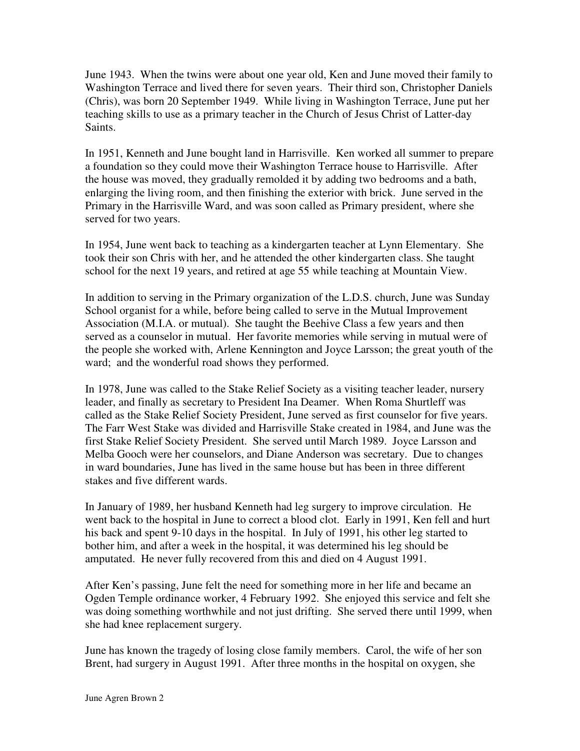June 1943. When the twins were about one year old, Ken and June moved their family to Washington Terrace and lived there for seven years. Their third son, Christopher Daniels (Chris), was born 20 September 1949. While living in Washington Terrace, June put her teaching skills to use as a primary teacher in the Church of Jesus Christ of Latter-day Saints.

In 1951, Kenneth and June bought land in Harrisville. Ken worked all summer to prepare a foundation so they could move their Washington Terrace house to Harrisville. After the house was moved, they gradually remolded it by adding two bedrooms and a bath, enlarging the living room, and then finishing the exterior with brick. June served in the Primary in the Harrisville Ward, and was soon called as Primary president, where she served for two years.

In 1954, June went back to teaching as a kindergarten teacher at Lynn Elementary. She took their son Chris with her, and he attended the other kindergarten class. She taught school for the next 19 years, and retired at age 55 while teaching at Mountain View.

In addition to serving in the Primary organization of the L.D.S. church, June was Sunday School organist for a while, before being called to serve in the Mutual Improvement Association (M.I.A. or mutual). She taught the Beehive Class a few years and then served as a counselor in mutual. Her favorite memories while serving in mutual were of the people she worked with, Arlene Kennington and Joyce Larsson; the great youth of the ward; and the wonderful road shows they performed.

In 1978, June was called to the Stake Relief Society as a visiting teacher leader, nursery leader, and finally as secretary to President Ina Deamer. When Roma Shurtleff was called as the Stake Relief Society President, June served as first counselor for five years. The Farr West Stake was divided and Harrisville Stake created in 1984, and June was the first Stake Relief Society President. She served until March 1989. Joyce Larsson and Melba Gooch were her counselors, and Diane Anderson was secretary. Due to changes in ward boundaries, June has lived in the same house but has been in three different stakes and five different wards.

In January of 1989, her husband Kenneth had leg surgery to improve circulation. He went back to the hospital in June to correct a blood clot. Early in 1991, Ken fell and hurt his back and spent 9-10 days in the hospital. In July of 1991, his other leg started to bother him, and after a week in the hospital, it was determined his leg should be amputated. He never fully recovered from this and died on 4 August 1991.

After Ken's passing, June felt the need for something more in her life and became an Ogden Temple ordinance worker, 4 February 1992. She enjoyed this service and felt she was doing something worthwhile and not just drifting. She served there until 1999, when she had knee replacement surgery.

June has known the tragedy of losing close family members. Carol, the wife of her son Brent, had surgery in August 1991. After three months in the hospital on oxygen, she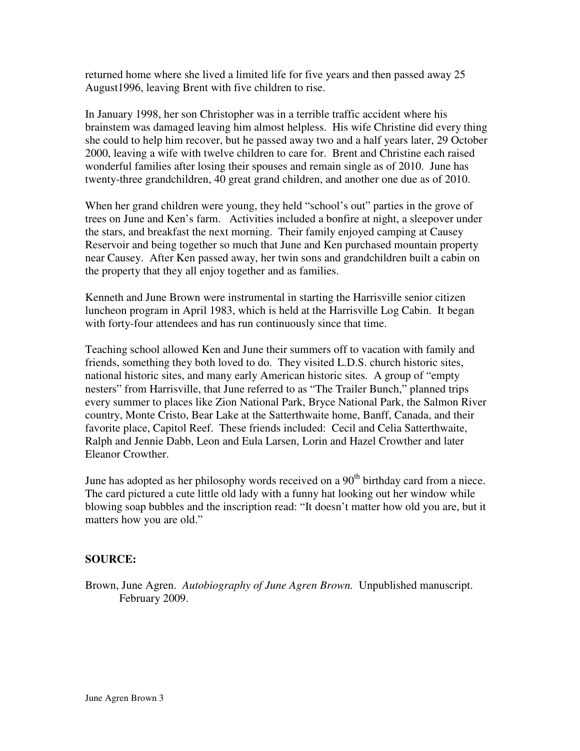returned home where she lived a limited life for five years and then passed away 25 August1996, leaving Brent with five children to rise.

In January 1998, her son Christopher was in a terrible traffic accident where his brainstem was damaged leaving him almost helpless. His wife Christine did every thing she could to help him recover, but he passed away two and a half years later, 29 October 2000, leaving a wife with twelve children to care for. Brent and Christine each raised wonderful families after losing their spouses and remain single as of 2010. June has twenty-three grandchildren, 40 great grand children, and another one due as of 2010.

When her grand children were young, they held "school's out" parties in the grove of trees on June and Ken's farm. Activities included a bonfire at night, a sleepover under the stars, and breakfast the next morning. Their family enjoyed camping at Causey Reservoir and being together so much that June and Ken purchased mountain property near Causey. After Ken passed away, her twin sons and grandchildren built a cabin on the property that they all enjoy together and as families.

Kenneth and June Brown were instrumental in starting the Harrisville senior citizen luncheon program in April 1983, which is held at the Harrisville Log Cabin. It began with forty-four attendees and has run continuously since that time.

Teaching school allowed Ken and June their summers off to vacation with family and friends, something they both loved to do. They visited L.D.S. church historic sites, national historic sites, and many early American historic sites. A group of "empty nesters" from Harrisville, that June referred to as "The Trailer Bunch," planned trips every summer to places like Zion National Park, Bryce National Park, the Salmon River country, Monte Cristo, Bear Lake at the Satterthwaite home, Banff, Canada, and their favorite place, Capitol Reef. These friends included: Cecil and Celia Satterthwaite, Ralph and Jennie Dabb, Leon and Eula Larsen, Lorin and Hazel Crowther and later Eleanor Crowther.

June has adopted as her philosophy words received on a 90<sup>th</sup> birthday card from a niece. The card pictured a cute little old lady with a funny hat looking out her window while blowing soap bubbles and the inscription read: "It doesn't matter how old you are, but it matters how you are old."

## **SOURCE:**

Brown, June Agren. *Autobiography of June Agren Brown.* Unpublished manuscript. February 2009.